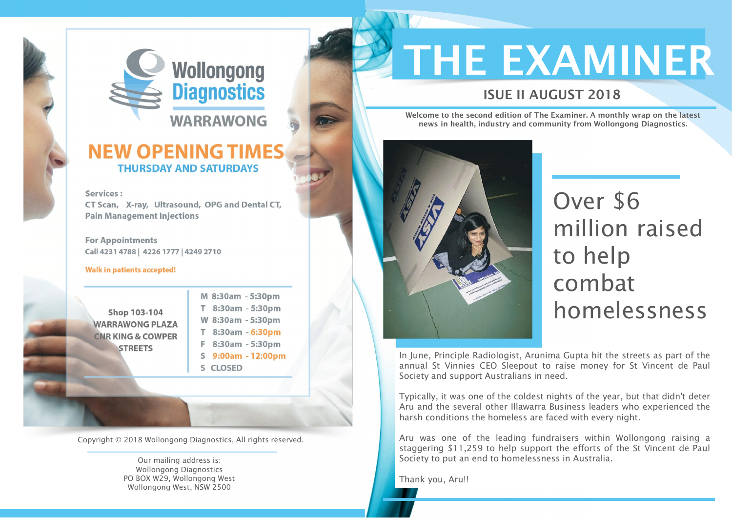

### **NEW OPENING TIMES THURSDAY AND SATURDAYS**

#### Services:

CT Scan, X-ray, Ultrasound, OPG and Dental CT, **Pain Management Injections** 

**For Appointments** Call 4231 4788 | 4226 1777 | 4249 2710

#### Walk in patients accepted!

Shop 103-104 **WARRAWONG PLAZA CNR KING & COWPER STREETS** 

M 8:30am - 5:30pm T 8:30am - 5:30pm W 8:30am - 5:30pm T 8:30am - 6:30pm F 8:30am - 5:30pm S 9:00am - 12:00pm S CLOSED

Welcome to the second edition of The Examiner. A monthly wrap on the latest news in health, industry and community from Wollongong Diagnostics.



# Over \$6 million raised to help combat homelessness

In June, Principle Radiologist, Arunima Gupta hit the streets as part of the annual St Vinnies CEO Sleepout to raise money for St Vincent de Paul Society and support Australians in need.

Typically, it was one of the coldest nights of the year, but that didn't deter Aru and the several other Illawarra Business leaders who experienced the harsh conditions the homeless are faced with every night.

Aru was one of the leading fundraisers within Wollongong raising a staggering \$11,259 to help support the efforts of the St Vincent de Paul Society to put an end to homelessness in Australia.

Thank you, Aru!!

### ISUE II AUGUST 2018



Copyright © 2018 Wollongong Diagnostics, All rights reserved.

Our mailing address is: Wollongong Diagnostics PO BOX W29, Wollongong West Wollongong West, NSW 2500